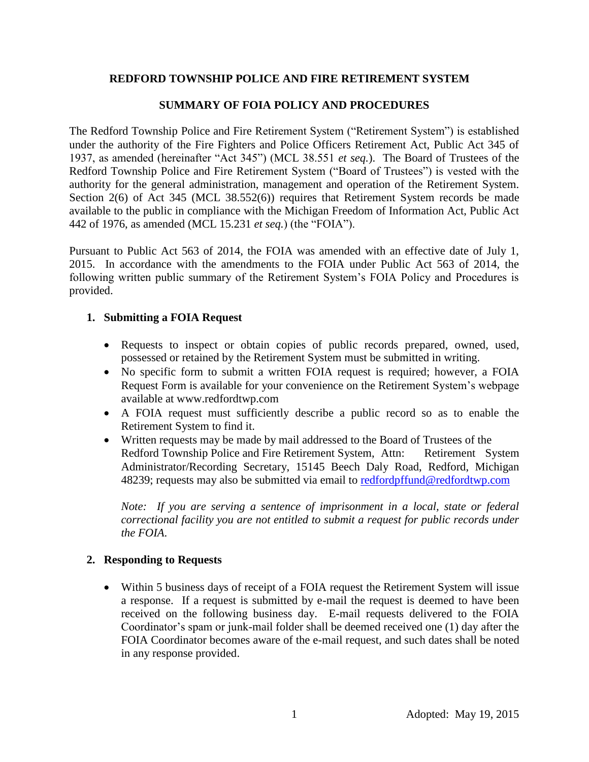## **REDFORD TOWNSHIP POLICE AND FIRE RETIREMENT SYSTEM**

## **SUMMARY OF FOIA POLICY AND PROCEDURES**

The Redford Township Police and Fire Retirement System ("Retirement System") is established under the authority of the Fire Fighters and Police Officers Retirement Act, Public Act 345 of 1937, as amended (hereinafter "Act 345") (MCL 38.551 *et seq.*). The Board of Trustees of the Redford Township Police and Fire Retirement System ("Board of Trustees") is vested with the authority for the general administration, management and operation of the Retirement System. Section 2(6) of Act 345 (MCL 38.552(6)) requires that Retirement System records be made available to the public in compliance with the Michigan Freedom of Information Act, Public Act 442 of 1976, as amended (MCL 15.231 *et seq.*) (the "FOIA").

Pursuant to Public Act 563 of 2014, the FOIA was amended with an effective date of July 1, 2015. In accordance with the amendments to the FOIA under Public Act 563 of 2014, the following written public summary of the Retirement System's FOIA Policy and Procedures is provided.

#### **1. Submitting a FOIA Request**

- Requests to inspect or obtain copies of public records prepared, owned, used, possessed or retained by the Retirement System must be submitted in writing.
- No specific form to submit a written FOIA request is required; however, a FOIA Request Form is available for your convenience on the Retirement System's webpage available at www.redfordtwp.com
- A FOIA request must sufficiently describe a public record so as to enable the Retirement System to find it.
- Written requests may be made by mail addressed to the Board of Trustees of the Redford Township Police and Fire Retirement System, Attn: Retirement System Administrator/Recording Secretary, 15145 Beech Daly Road, Redford, Michigan 48239; requests may also be submitted via email to [redfordpffund@redfordtwp.com](mailto:redfordpffund@redfordtwp.com)

*Note:* If you are serving a sentence of imprisonment in a local, state or federal *correctional facility you are not entitled to submit a request for public records under the FOIA*.

#### **2. Responding to Requests**

 Within 5 business days of receipt of a FOIA request the Retirement System will issue a response. If a request is submitted by e-mail the request is deemed to have been received on the following business day. E-mail requests delivered to the FOIA Coordinator's spam or junk-mail folder shall be deemed received one (1) day after the FOIA Coordinator becomes aware of the e-mail request, and such dates shall be noted in any response provided.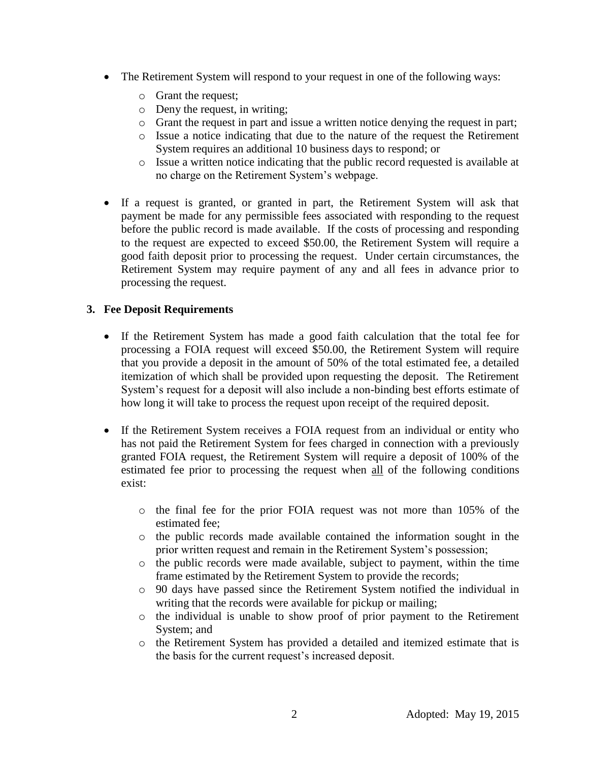- The Retirement System will respond to your request in one of the following ways:
	- o Grant the request;
	- o Deny the request, in writing;
	- o Grant the request in part and issue a written notice denying the request in part;
	- o Issue a notice indicating that due to the nature of the request the Retirement System requires an additional 10 business days to respond; or
	- o Issue a written notice indicating that the public record requested is available at no charge on the Retirement System's webpage.
- If a request is granted, or granted in part, the Retirement System will ask that payment be made for any permissible fees associated with responding to the request before the public record is made available. If the costs of processing and responding to the request are expected to exceed \$50.00, the Retirement System will require a good faith deposit prior to processing the request. Under certain circumstances, the Retirement System may require payment of any and all fees in advance prior to processing the request.

## **3. Fee Deposit Requirements**

- If the Retirement System has made a good faith calculation that the total fee for processing a FOIA request will exceed \$50.00, the Retirement System will require that you provide a deposit in the amount of 50% of the total estimated fee, a detailed itemization of which shall be provided upon requesting the deposit. The Retirement System's request for a deposit will also include a non-binding best efforts estimate of how long it will take to process the request upon receipt of the required deposit.
- If the Retirement System receives a FOIA request from an individual or entity who has not paid the Retirement System for fees charged in connection with a previously granted FOIA request, the Retirement System will require a deposit of 100% of the estimated fee prior to processing the request when all of the following conditions exist:
	- o the final fee for the prior FOIA request was not more than 105% of the estimated fee;
	- o the public records made available contained the information sought in the prior written request and remain in the Retirement System's possession;
	- o the public records were made available, subject to payment, within the time frame estimated by the Retirement System to provide the records;
	- o 90 days have passed since the Retirement System notified the individual in writing that the records were available for pickup or mailing;
	- o the individual is unable to show proof of prior payment to the Retirement System; and
	- o the Retirement System has provided a detailed and itemized estimate that is the basis for the current request's increased deposit.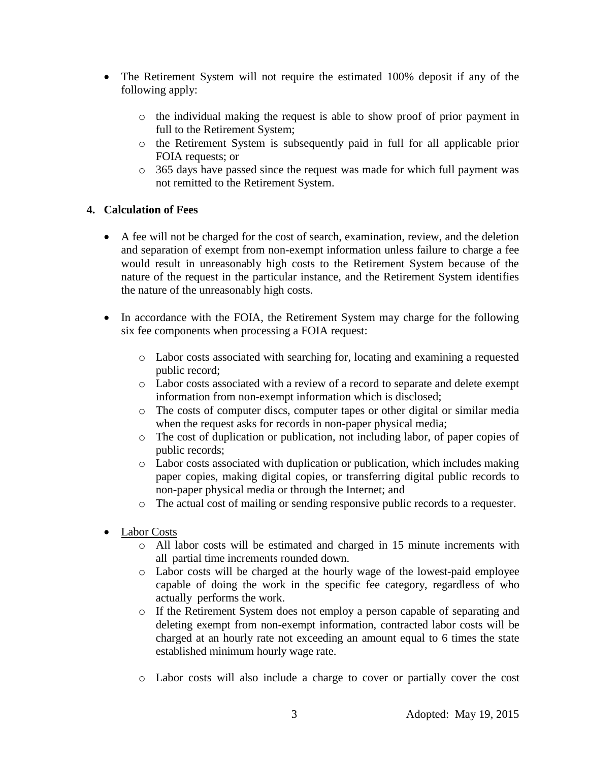- The Retirement System will not require the estimated 100% deposit if any of the following apply:
	- o the individual making the request is able to show proof of prior payment in full to the Retirement System;
	- o the Retirement System is subsequently paid in full for all applicable prior FOIA requests; or
	- o 365 days have passed since the request was made for which full payment was not remitted to the Retirement System.

# **4. Calculation of Fees**

- A fee will not be charged for the cost of search, examination, review, and the deletion and separation of exempt from non-exempt information unless failure to charge a fee would result in unreasonably high costs to the Retirement System because of the nature of the request in the particular instance, and the Retirement System identifies the nature of the unreasonably high costs.
- In accordance with the FOIA, the Retirement System may charge for the following six fee components when processing a FOIA request:
	- o Labor costs associated with searching for, locating and examining a requested public record;
	- o Labor costs associated with a review of a record to separate and delete exempt information from non-exempt information which is disclosed;
	- o The costs of computer discs, computer tapes or other digital or similar media when the request asks for records in non-paper physical media;
	- o The cost of duplication or publication, not including labor, of paper copies of public records;
	- o Labor costs associated with duplication or publication, which includes making paper copies, making digital copies, or transferring digital public records to non-paper physical media or through the Internet; and
	- o The actual cost of mailing or sending responsive public records to a requester.
- Labor Costs
	- o All labor costs will be estimated and charged in 15 minute increments with all partial time increments rounded down.
	- o Labor costs will be charged at the hourly wage of the lowest-paid employee capable of doing the work in the specific fee category, regardless of who actually performs the work.
	- o If the Retirement System does not employ a person capable of separating and deleting exempt from non-exempt information, contracted labor costs will be charged at an hourly rate not exceeding an amount equal to 6 times the state established minimum hourly wage rate.
	- o Labor costs will also include a charge to cover or partially cover the cost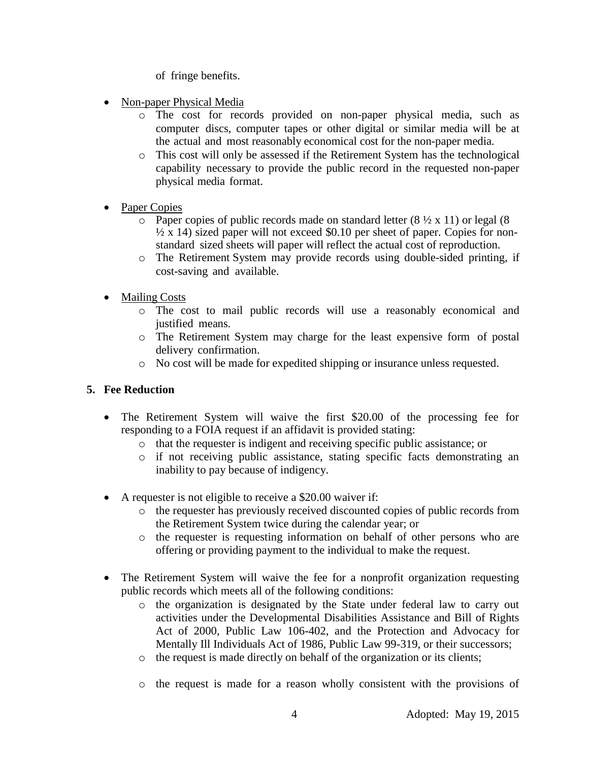of fringe benefits.

- Non-paper Physical Media
	- o The cost for records provided on non-paper physical media, such as computer discs, computer tapes or other digital or similar media will be at the actual and most reasonably economical cost for the non-paper media.
	- o This cost will only be assessed if the Retirement System has the technological capability necessary to provide the public record in the requested non-paper physical media format.
- Paper Copies
	- $\circ$  Paper copies of public records made on standard letter (8  $\frac{1}{2} \times 11$ ) or legal (8  $\frac{1}{2}$  x 14) sized paper will not exceed \$0.10 per sheet of paper. Copies for nonstandard sized sheets will paper will reflect the actual cost of reproduction.
	- o The Retirement System may provide records using double-sided printing, if cost-saving and available.
- Mailing Costs
	- o The cost to mail public records will use a reasonably economical and justified means.
	- o The Retirement System may charge for the least expensive form of postal delivery confirmation.
	- o No cost will be made for expedited shipping or insurance unless requested.

# **5. Fee Reduction**

- The Retirement System will waive the first \$20.00 of the processing fee for responding to a FOIA request if an affidavit is provided stating:
	- o that the requester is indigent and receiving specific public assistance; or
	- o if not receiving public assistance, stating specific facts demonstrating an inability to pay because of indigency.
- A requester is not eligible to receive a \$20.00 waiver if:
	- o the requester has previously received discounted copies of public records from the Retirement System twice during the calendar year; or
	- o the requester is requesting information on behalf of other persons who are offering or providing payment to the individual to make the request.
- The Retirement System will waive the fee for a nonprofit organization requesting public records which meets all of the following conditions:
	- o the organization is designated by the State under federal law to carry out activities under the Developmental Disabilities Assistance and Bill of Rights Act of 2000, Public Law 106-402, and the Protection and Advocacy for Mentally Ill Individuals Act of 1986, Public Law 99-319, or their successors;
	- o the request is made directly on behalf of the organization or its clients;
	- o the request is made for a reason wholly consistent with the provisions of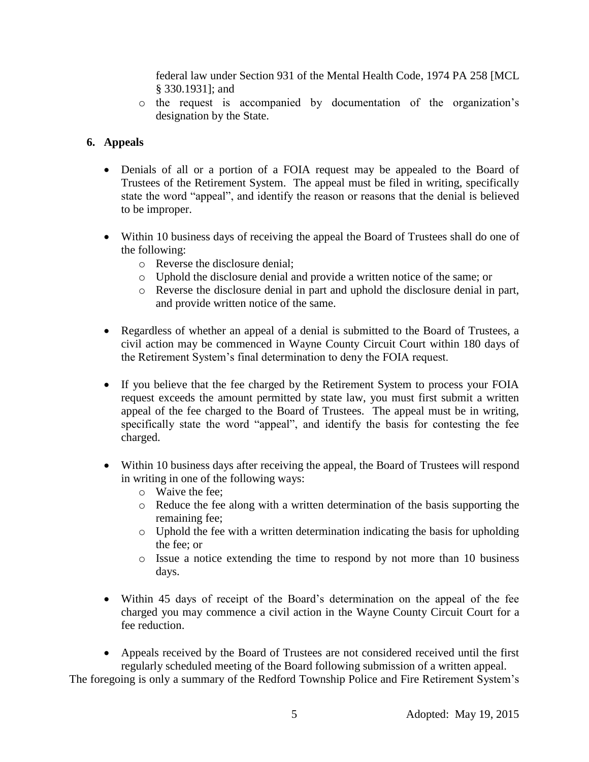federal law under Section 931 of the Mental Health Code, 1974 PA 258 [MCL § 330.1931]; and

o the request is accompanied by documentation of the organization's designation by the State.

# **6. Appeals**

- Denials of all or a portion of a FOIA request may be appealed to the Board of Trustees of the Retirement System. The appeal must be filed in writing, specifically state the word "appeal", and identify the reason or reasons that the denial is believed to be improper.
- Within 10 business days of receiving the appeal the Board of Trustees shall do one of the following:
	- o Reverse the disclosure denial;
	- o Uphold the disclosure denial and provide a written notice of the same; or
	- o Reverse the disclosure denial in part and uphold the disclosure denial in part, and provide written notice of the same.
- Regardless of whether an appeal of a denial is submitted to the Board of Trustees, a civil action may be commenced in Wayne County Circuit Court within 180 days of the Retirement System's final determination to deny the FOIA request.
- If you believe that the fee charged by the Retirement System to process your FOIA request exceeds the amount permitted by state law, you must first submit a written appeal of the fee charged to the Board of Trustees. The appeal must be in writing, specifically state the word "appeal", and identify the basis for contesting the fee charged.
- Within 10 business days after receiving the appeal, the Board of Trustees will respond in writing in one of the following ways:
	- o Waive the fee;
	- $\circ$  Reduce the fee along with a written determination of the basis supporting the remaining fee;
	- o Uphold the fee with a written determination indicating the basis for upholding the fee; or
	- o Issue a notice extending the time to respond by not more than 10 business days.
- Within 45 days of receipt of the Board's determination on the appeal of the fee charged you may commence a civil action in the Wayne County Circuit Court for a fee reduction.
- Appeals received by the Board of Trustees are not considered received until the first regularly scheduled meeting of the Board following submission of a written appeal.

The foregoing is only a summary of the Redford Township Police and Fire Retirement System's